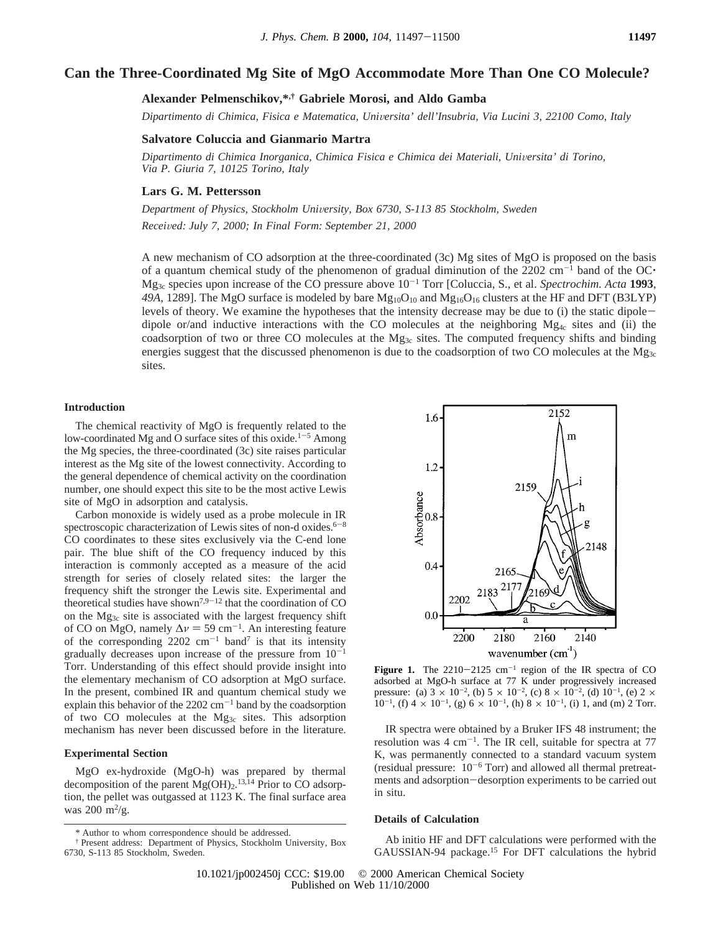# **Can the Three-Coordinated Mg Site of MgO Accommodate More Than One CO Molecule?**

# **Alexander Pelmenschikov,\*,† Gabriele Morosi, and Aldo Gamba**

*Dipartimento di Chimica, Fisica e Matematica, Uni*V*ersita' dell'Insubria, Via Lucini 3, 22100 Como, Italy*

#### **Salvatore Coluccia and Gianmario Martra**

*Dipartimento di Chimica Inorganica, Chimica Fisica e Chimica dei Materiali, Uni*V*ersita' di Torino, Via P. Giuria 7, 10125 Torino, Italy*

## **Lars G. M. Pettersson**

*Department of Physics, Stockholm Uni*V*ersity, Box 6730, S-113 85 Stockholm, Sweden Recei*V*ed: July 7, 2000; In Final Form: September 21, 2000*

A new mechanism of CO adsorption at the three-coordinated (3c) Mg sites of MgO is proposed on the basis of a quantum chemical study of the phenomenon of gradual diminution of the  $2202 \text{ cm}^{-1}$  band of the OC $\cdot$  $Mg_3$ <sub>c</sub> species upon increase of the CO pressure above  $10^{-1}$  Torr [Coluccia, S., et al. *Spectrochim. Acta* 1993, 49A, 1289]. The MgO surface is modeled by bare  $Mg_{10}O_{10}$  and  $Mg_{16}O_{16}$  clusters at the HF and DFT (B3LYP) levels of theory. We examine the hypotheses that the intensity decrease may be due to (i) the static dipoledipole or/and inductive interactions with the CO molecules at the neighboring  $Mg_{4c}$  sites and (ii) the coadsorption of two or three CO molecules at the  $Mg_{3c}$  sites. The computed frequency shifts and binding energies suggest that the discussed phenomenon is due to the coadsorption of two CO molecules at the  $Mg_{3c}$ sites.

### **Introduction**

The chemical reactivity of MgO is frequently related to the low-coordinated Mg and O surface sites of this oxide.<sup>1-5</sup> Among the Mg species, the three-coordinated (3c) site raises particular interest as the Mg site of the lowest connectivity. According to the general dependence of chemical activity on the coordination number, one should expect this site to be the most active Lewis site of MgO in adsorption and catalysis.

Carbon monoxide is widely used as a probe molecule in IR spectroscopic characterization of Lewis sites of non-d oxides. $6-8$ CO coordinates to these sites exclusively via the C-end lone pair. The blue shift of the CO frequency induced by this interaction is commonly accepted as a measure of the acid strength for series of closely related sites: the larger the frequency shift the stronger the Lewis site. Experimental and theoretical studies have shown<sup>7,9-12</sup> that the coordination of CO on the Mg3c site is associated with the largest frequency shift of CO on MgO, namely  $\Delta \nu = 59$  cm<sup>-1</sup>. An interesting feature of the corresponding  $2202 \text{ cm}^{-1}$  band<sup>7</sup> is that its intensity gradually decreases upon increase of the pressure from  $10^{-1}$ Torr. Understanding of this effect should provide insight into the elementary mechanism of CO adsorption at MgO surface. In the present, combined IR and quantum chemical study we explain this behavior of the  $2202 \text{ cm}^{-1}$  band by the coadsorption of two CO molecules at the Mg3c sites. This adsorption mechanism has never been discussed before in the literature.

## **Experimental Section**

MgO ex-hydroxide (MgO-h) was prepared by thermal decomposition of the parent  $Mg(OH)_2$ .<sup>13,14</sup> Prior to CO adsorption, the pellet was outgassed at 1123 K. The final surface area was  $200 \frac{\text{m}^2}{\text{g}}$ .



**Figure 1.** The  $2210-2125$  cm<sup>-1</sup> region of the IR spectra of CO adsorbed at MgO-h surface at 77 K under progressively increased pressure: (a)  $3 \times 10^{-2}$ , (b)  $5 \times 10^{-2}$ , (c)  $8 \times 10^{-2}$ , (d)  $10^{-1}$ , (e)  $2 \times$  $10^{-1}$ , (f)  $4 \times 10^{-1}$ , (g)  $6 \times 10^{-1}$ , (h)  $8 \times 10^{-1}$ , (i) 1, and (m) 2 Torr.

IR spectra were obtained by a Bruker IFS 48 instrument; the resolution was  $4 \text{ cm}^{-1}$ . The IR cell, suitable for spectra at 77 K, was permanently connected to a standard vacuum system (residual pressure:  $10^{-6}$  Torr) and allowed all thermal pretreatments and adsorption-desorption experiments to be carried out in situ.

#### **Details of Calculation**

Ab initio HF and DFT calculations were performed with the GAUSSIAN-94 package.15 For DFT calculations the hybrid

<sup>\*</sup> Author to whom correspondence should be addressed.

<sup>†</sup> Present address: Department of Physics, Stockholm University, Box 6730, S-113 85 Stockholm, Sweden.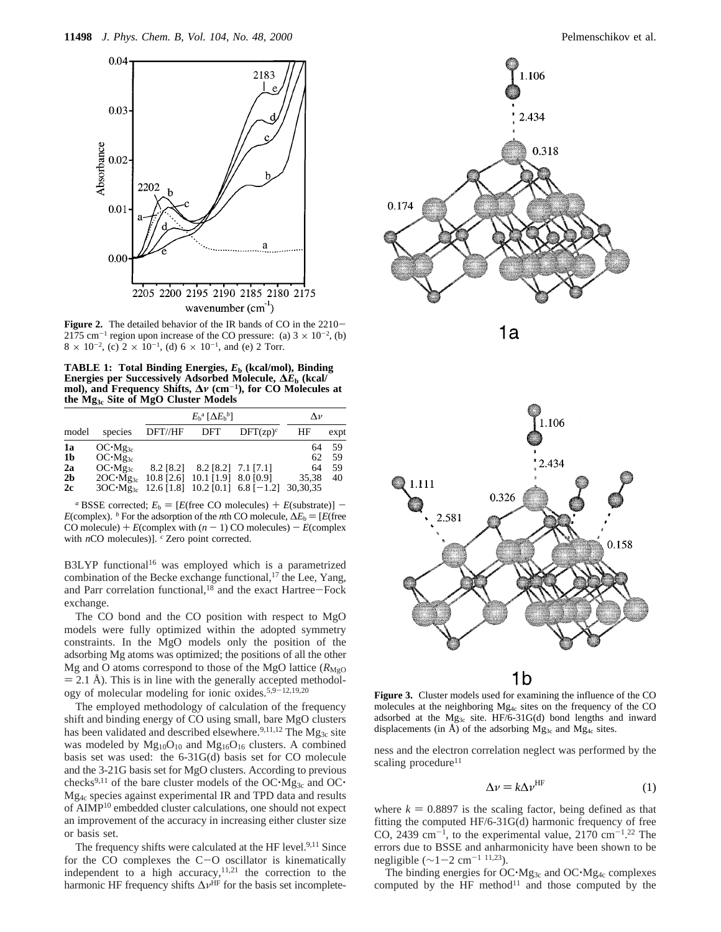

Figure 2. The detailed behavior of the IR bands of CO in the 2210-2175 cm<sup>-1</sup> region upon increase of the CO pressure: (a)  $3 \times 10^{-2}$ , (b)  $8 \times 10^{-2}$ , (c)  $2 \times 10^{-1}$ , (d)  $6 \times 10^{-1}$ , and (e) 2 Torr.

**TABLE 1: Total Binding Energies,** *E***<sup>b</sup> (kcal/mol), Binding Energies per Successively Adsorbed Molecule, ∆***E***<sup>b</sup> (kcal/ mol), and Frequency Shifts, ∆***ν* **(cm**-**1), for CO Molecules at the Mg3c Site of MgO Cluster Models**

|                                                    |                                                               | $E_{\rm b}^{\rm a}$ [ $\Delta E_{\rm b}^{\rm b}$ ] |                                                              |                                                               | $\Lambda \nu$           |                       |
|----------------------------------------------------|---------------------------------------------------------------|----------------------------------------------------|--------------------------------------------------------------|---------------------------------------------------------------|-------------------------|-----------------------|
| model                                              | species                                                       | DFT//HF                                            | DFT                                                          | $DFT(zp)^c$                                                   | ΗF                      | expt                  |
| 1a<br>1 <sub>b</sub><br>2a<br>2 <sub>b</sub><br>2c | $OC·Mg_{3c}$<br>$OC·Mg_{3c}$<br>$OC·Mg_{3c}$<br>$2OC·Mg_{3c}$ | 8.2 [8.2]                                          | $8.2$ [8.2] 7.1 [7.1]<br>$10.8$ [2.6] $10.1$ [1.9] 8.0 [0.9] | $3OC \cdot Mg_{3c}$ 12.6 [1.8] 10.2 [0.1] 6.8 [-1.2] 30,30,35 | 64<br>62<br>64<br>35.38 | 59<br>59<br>.59<br>40 |

*a* BSSE corrected;  $E_b = [E$ (free CO molecules) +  $E$ (substrate)] -*E*(complex). *b* For the adsorption of the *n*th CO molecule,  $\Delta E_b = [E$ (free CO molecule) +  $E$ (complex with  $(n - 1)$  CO molecules) -  $E$ (complex with *n*CO molecules)]. <sup>*c*</sup> Zero point corrected.

B3LYP functional<sup>16</sup> was employed which is a parametrized combination of the Becke exchange functional, $^{17}$  the Lee, Yang, and Parr correlation functional, $18$  and the exact Hartree-Fock exchange.

The CO bond and the CO position with respect to MgO models were fully optimized within the adopted symmetry constraints. In the MgO models only the position of the adsorbing Mg atoms was optimized; the positions of all the other Mg and O atoms correspond to those of the MgO lattice  $(R_{\text{MeO}})$  $= 2.1$  Å). This is in line with the generally accepted methodology of molecular modeling for ionic oxides.<sup>5,9-12,19,20</sup>

The employed methodology of calculation of the frequency shift and binding energy of CO using small, bare MgO clusters has been validated and described elsewhere.<sup>9,11,12</sup> The Mg<sub>3c</sub> site was modeled by  $Mg_{10}O_{10}$  and  $Mg_{16}O_{16}$  clusters. A combined basis set was used: the 6-31G(d) basis set for CO molecule and the 3-21G basis set for MgO clusters. According to previous checks<sup>9,11</sup> of the bare cluster models of the OC $\cdot$ Mg<sub>3c</sub> and OC $\cdot$ Mg4c species against experimental IR and TPD data and results of AIMP10 embedded cluster calculations, one should not expect an improvement of the accuracy in increasing either cluster size or basis set.

The frequency shifts were calculated at the HF level.<sup>9,11</sup> Since for the CO complexes the C-O oscillator is kinematically for the CO complexes the C-O oscillator is kinematically independent to a high accuracy,<sup>11,21</sup> the correction to the harmonic HF frequency shifts  $\Delta \nu^{\text{HF}}$  for the basis set incomplete-







1b

**Figure 3.** Cluster models used for examining the influence of the CO molecules at the neighboring  $Mg_{4c}$  sites on the frequency of the CO adsorbed at the  $Mg_{3c}$  site. HF/6-31G(d) bond lengths and inward displacements (in  $\AA$ ) of the adsorbing Mg<sub>3c</sub> and Mg<sub>4c</sub> sites.

ness and the electron correlation neglect was performed by the scaling procedure<sup>11</sup>

$$
\Delta v = k \Delta v^{\text{HF}} \tag{1}
$$

where  $k = 0.8897$  is the scaling factor, being defined as that fitting the computed HF/6-31G(d) harmonic frequency of free CO, 2439 cm<sup>-1</sup>, to the experimental value,  $2170 \text{ cm}^{-1}$ .<sup>22</sup> The errors due to BSSE and anharmonicity have been shown to be negligible ( $\sim$ 1-2 cm<sup>-1 11,23</sup>).

The binding energies for  $OC<sup>\cdot</sup>Mg<sub>3c</sub>$  and  $OC<sup>\cdot</sup>Mg<sub>4c</sub>$  complexes computed by the HF method $11$  and those computed by the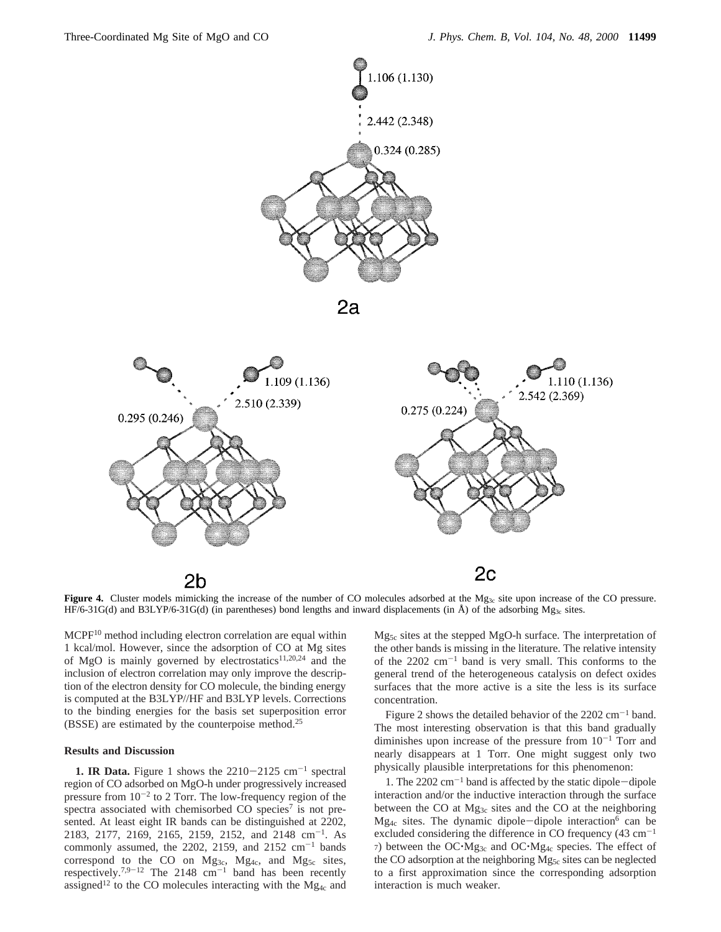



Figure 4. Cluster models mimicking the increase of the number of CO molecules adsorbed at the Mg<sub>3c</sub> site upon increase of the CO pressure. HF/6-31G(d) and B3LYP/6-31G(d) (in parentheses) bond lengths and inward displacements (in  $\AA$ ) of the adsorbing Mg<sub>3c</sub> sites.

MCPF10 method including electron correlation are equal within 1 kcal/mol. However, since the adsorption of CO at Mg sites of MgO is mainly governed by electrostatics<sup>11,20,24</sup> and the inclusion of electron correlation may only improve the description of the electron density for CO molecule, the binding energy is computed at the B3LYP//HF and B3LYP levels. Corrections to the binding energies for the basis set superposition error (BSSE) are estimated by the counterpoise method.25

#### **Results and Discussion**

**1. IR Data.** Figure 1 shows the  $2210-2125$  cm<sup>-1</sup> spectral region of CO adsorbed on MgO-h under progressively increased pressure from  $10^{-2}$  to 2 Torr. The low-frequency region of the spectra associated with chemisorbed CO species<sup>7</sup> is not presented. At least eight IR bands can be distinguished at 2202, 2183, 2177, 2169, 2165, 2159, 2152, and 2148 cm-1. As commonly assumed, the 2202, 2159, and 2152  $\text{cm}^{-1}$  bands correspond to the CO on  $Mg_{3c}$ ,  $Mg_{4c}$ , and  $Mg_{5c}$  sites, respectively.<sup>7,9-12</sup> The 2148  $cm^{-1}$  band has been recently assigned<sup>12</sup> to the CO molecules interacting with the Mg<sub>4c</sub> and Mg5c sites at the stepped MgO-h surface. The interpretation of the other bands is missing in the literature. The relative intensity of the  $2202 \text{ cm}^{-1}$  band is very small. This conforms to the general trend of the heterogeneous catalysis on defect oxides surfaces that the more active is a site the less is its surface concentration.

Figure 2 shows the detailed behavior of the  $2202 \text{ cm}^{-1}$  band. The most interesting observation is that this band gradually diminishes upon increase of the pressure from  $10^{-1}$  Torr and nearly disappears at 1 Torr. One might suggest only two physically plausible interpretations for this phenomenon:

1. The  $2202 \text{ cm}^{-1}$  band is affected by the static dipole-dipole interaction and/or the inductive interaction through the surface between the CO at Mg<sub>3c</sub> sites and the CO at the neighboring  $Mg_{4c}$  sites. The dynamic dipole-dipole interaction<sup>6</sup> can be excluded considering the difference in CO frequency  $(43 \text{ cm}^{-1})$ 7) between the OC $\cdot$ Mg<sub>3c</sub> and OC $\cdot$ Mg<sub>4c</sub> species. The effect of the CO adsorption at the neighboring Mg<sub>5c</sub> sites can be neglected to a first approximation since the corresponding adsorption interaction is much weaker.